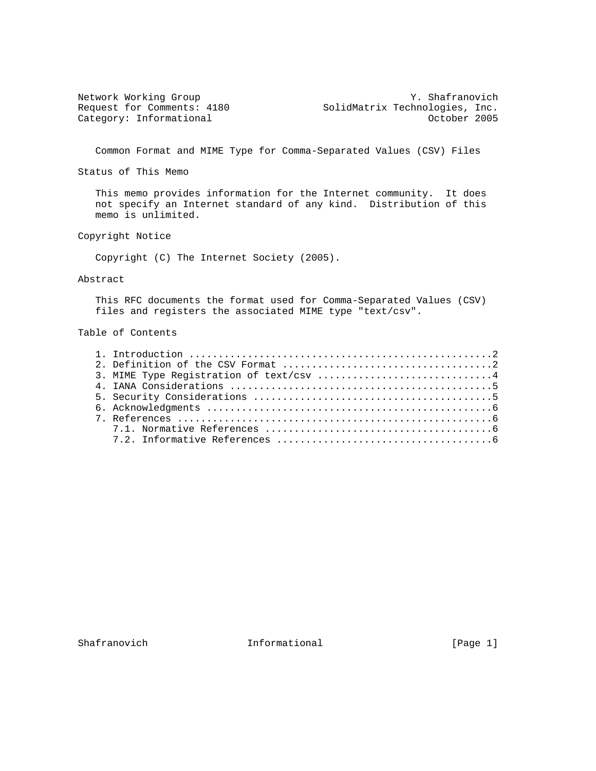Network Working Group Y. Shafranovich Request for Comments: 4180 SolidMatrix Technologies, Inc. Category: Informational and Category: Category: Informational control of the Category: Category: Category: Category: Category: Category: Category: Category: Category: Category: Category: Category: Category: Category: Categ

Common Format and MIME Type for Comma-Separated Values (CSV) Files

Status of This Memo

 This memo provides information for the Internet community. It does not specify an Internet standard of any kind. Distribution of this memo is unlimited.

Copyright Notice

Copyright (C) The Internet Society (2005).

### Abstract

 This RFC documents the format used for Comma-Separated Values (CSV) files and registers the associated MIME type "text/csv".

# Table of Contents

| 3. MIME Type Registration of text/csv 4 |
|-----------------------------------------|
|                                         |
|                                         |
|                                         |
|                                         |
|                                         |
|                                         |

Shafranovich Informational [Page 1]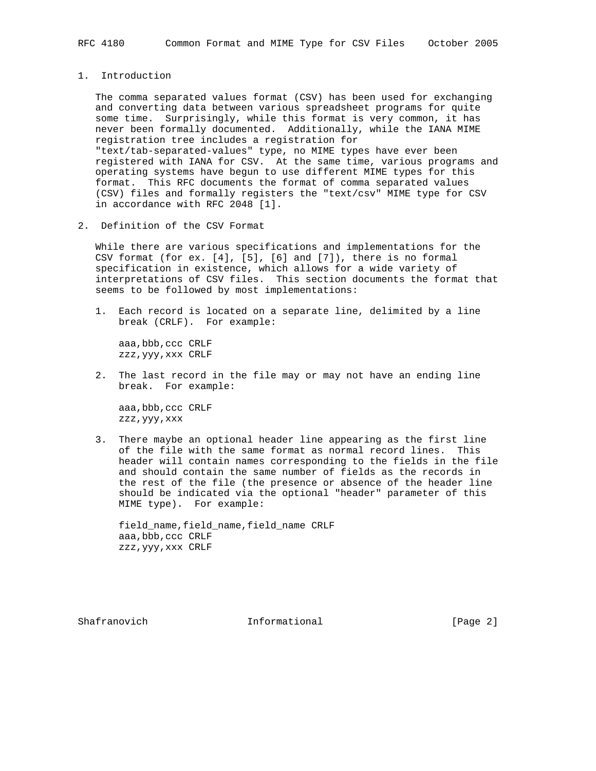1. Introduction

 The comma separated values format (CSV) has been used for exchanging and converting data between various spreadsheet programs for quite some time. Surprisingly, while this format is very common, it has never been formally documented. Additionally, while the IANA MIME registration tree includes a registration for "text/tab-separated-values" type, no MIME types have ever been registered with IANA for CSV. At the same time, various programs and operating systems have begun to use different MIME types for this format. This RFC documents the format of comma separated values (CSV) files and formally registers the "text/csv" MIME type for CSV in accordance with RFC 2048 [1].

2. Definition of the CSV Format

 While there are various specifications and implementations for the CSV format (for ex. [4], [5], [6] and [7]), there is no formal specification in existence, which allows for a wide variety of interpretations of CSV files. This section documents the format that seems to be followed by most implementations:

 1. Each record is located on a separate line, delimited by a line break (CRLF). For example:

 aaa,bbb,ccc CRLF zzz,yyy,xxx CRLF

 2. The last record in the file may or may not have an ending line break. For example:

 aaa,bbb,ccc CRLF zzz,yyy,xxx

 3. There maybe an optional header line appearing as the first line of the file with the same format as normal record lines. This header will contain names corresponding to the fields in the file and should contain the same number of fields as the records in the rest of the file (the presence or absence of the header line should be indicated via the optional "header" parameter of this MIME type). For example:

 field\_name,field\_name,field\_name CRLF aaa,bbb,ccc CRLF zzz,yyy,xxx CRLF

Shafranovich **Informational** Informational [Page 2]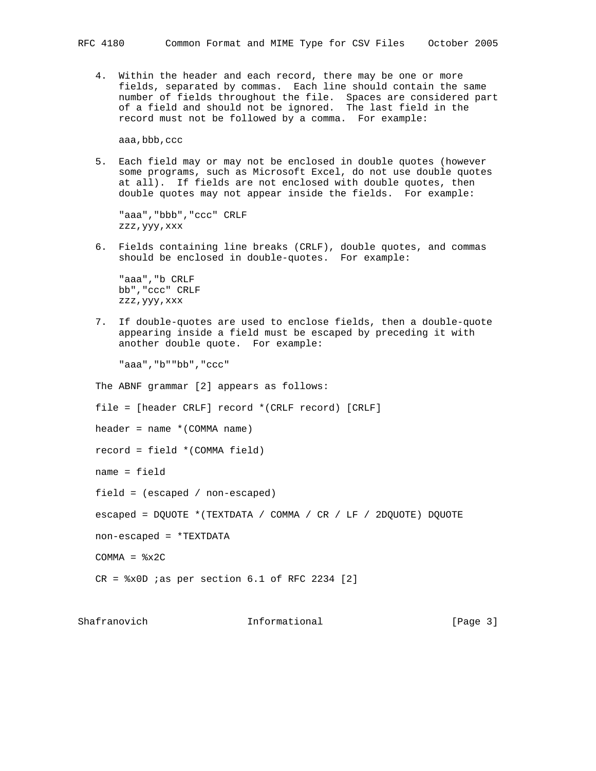4. Within the header and each record, there may be one or more fields, separated by commas. Each line should contain the same number of fields throughout the file. Spaces are considered part of a field and should not be ignored. The last field in the record must not be followed by a comma. For example:

aaa,bbb,ccc

 5. Each field may or may not be enclosed in double quotes (however some programs, such as Microsoft Excel, do not use double quotes at all). If fields are not enclosed with double quotes, then double quotes may not appear inside the fields. For example:

```
 "aaa","bbb","ccc" CRLF
zzz,yyy,xxx
```
 6. Fields containing line breaks (CRLF), double quotes, and commas should be enclosed in double-quotes. For example:

 "aaa","b CRLF bb","ccc" CRLF zzz,yyy,xxx

 7. If double-quotes are used to enclose fields, then a double-quote appearing inside a field must be escaped by preceding it with another double quote. For example:

"aaa","b""bb","ccc"

The ABNF grammar [2] appears as follows:

file = [header CRLF] record \*(CRLF record) [CRLF]

header = name \*(COMMA name)

record = field \*(COMMA field)

name = field

field = (escaped / non-escaped)

escaped = DQUOTE \*(TEXTDATA / COMMA / CR / LF / 2DQUOTE) DQUOTE

non-escaped = \*TEXTDATA

 $COMMA =  $8x2C$$ 

 $CR =  $8x0D$  ias per section 6.1 of RFC 2234 [2]$ 

Shafranovich **Informational** Informational [Page 3]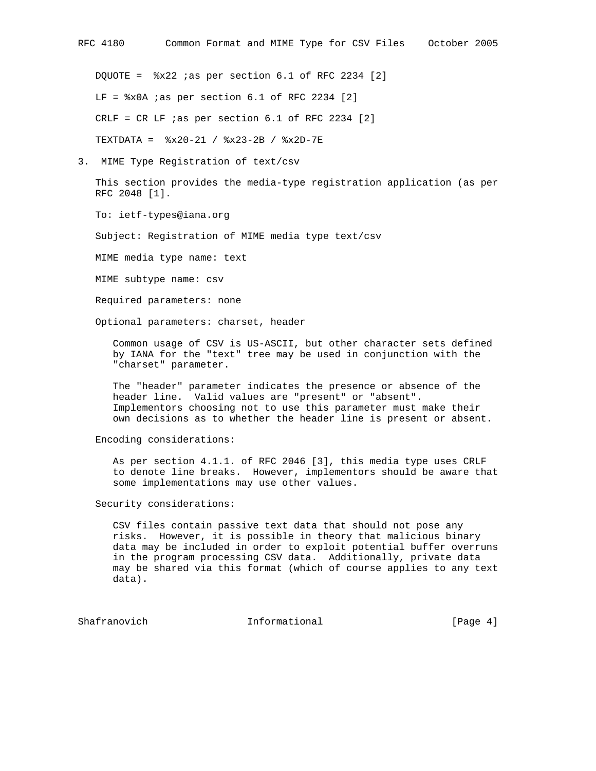DQUOTE = %x22 ;as per section 6.1 of RFC 2234 [2]  $LF =  $\frac{20A}{100} =$$ CRLF = CR LF  $ias$  per section  $6.1$  of RFC 2234 [2] TEXTDATA = %x20-21 / %x23-2B / %x2D-7E

3. MIME Type Registration of text/csv

 This section provides the media-type registration application (as per RFC 2048 [1].

To: ietf-types@iana.org

Subject: Registration of MIME media type text/csv

MIME media type name: text

MIME subtype name: csv

Required parameters: none

Optional parameters: charset, header

 Common usage of CSV is US-ASCII, but other character sets defined by IANA for the "text" tree may be used in conjunction with the "charset" parameter.

 The "header" parameter indicates the presence or absence of the header line. Valid values are "present" or "absent". Implementors choosing not to use this parameter must make their own decisions as to whether the header line is present or absent.

#### Encoding considerations:

 As per section 4.1.1. of RFC 2046 [3], this media type uses CRLF to denote line breaks. However, implementors should be aware that some implementations may use other values.

Security considerations:

 CSV files contain passive text data that should not pose any risks. However, it is possible in theory that malicious binary data may be included in order to exploit potential buffer overruns in the program processing CSV data. Additionally, private data may be shared via this format (which of course applies to any text data).

Shafranovich Informational [Page 4]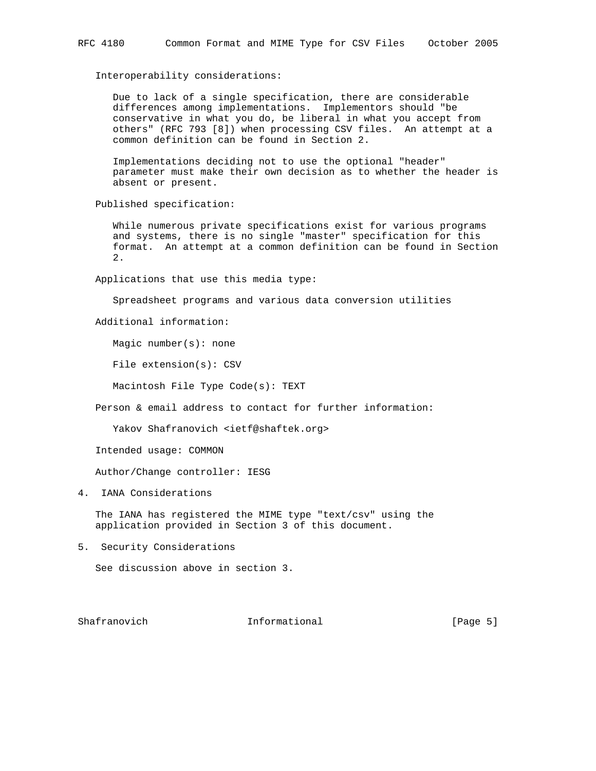#### Interoperability considerations:

 Due to lack of a single specification, there are considerable differences among implementations. Implementors should "be conservative in what you do, be liberal in what you accept from others" (RFC 793 [8]) when processing CSV files. An attempt at a common definition can be found in Section 2.

 Implementations deciding not to use the optional "header" parameter must make their own decision as to whether the header is absent or present.

Published specification:

 While numerous private specifications exist for various programs and systems, there is no single "master" specification for this format. An attempt at a common definition can be found in Section 2.

Applications that use this media type:

Spreadsheet programs and various data conversion utilities

Additional information:

Magic number(s): none

File extension(s): CSV

Macintosh File Type Code(s): TEXT

Person & email address to contact for further information:

Yakov Shafranovich <ietf@shaftek.org>

Intended usage: COMMON

Author/Change controller: IESG

4. IANA Considerations

 The IANA has registered the MIME type "text/csv" using the application provided in Section 3 of this document.

5. Security Considerations

See discussion above in section 3.

Shafranovich **Informational** Informational [Page 5]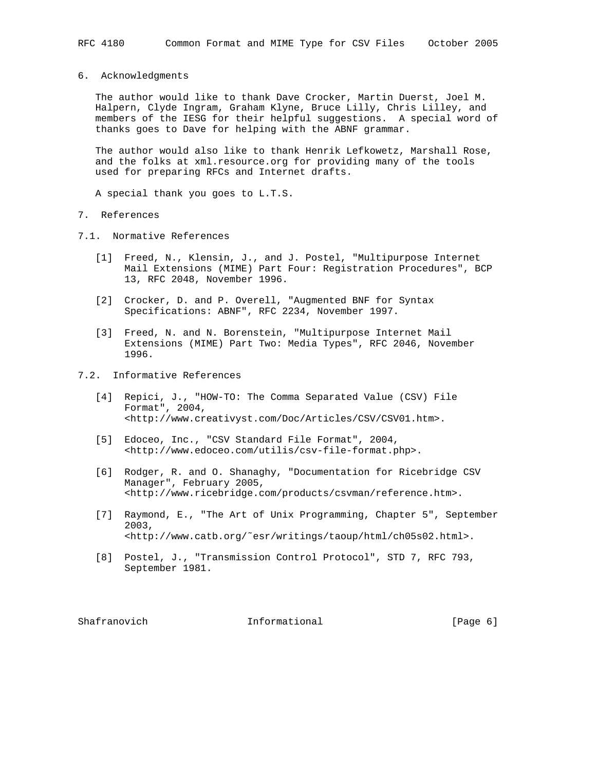6. Acknowledgments

 The author would like to thank Dave Crocker, Martin Duerst, Joel M. Halpern, Clyde Ingram, Graham Klyne, Bruce Lilly, Chris Lilley, and members of the IESG for their helpful suggestions. A special word of thanks goes to Dave for helping with the ABNF grammar.

 The author would also like to thank Henrik Lefkowetz, Marshall Rose, and the folks at xml.resource.org for providing many of the tools used for preparing RFCs and Internet drafts.

A special thank you goes to L.T.S.

## 7. References

- 7.1. Normative References
	- [1] Freed, N., Klensin, J., and J. Postel, "Multipurpose Internet Mail Extensions (MIME) Part Four: Registration Procedures", BCP 13, RFC 2048, November 1996.
	- [2] Crocker, D. and P. Overell, "Augmented BNF for Syntax Specifications: ABNF", RFC 2234, November 1997.
	- [3] Freed, N. and N. Borenstein, "Multipurpose Internet Mail Extensions (MIME) Part Two: Media Types", RFC 2046, November 1996.
- 7.2. Informative References
	- [4] Repici, J., "HOW-TO: The Comma Separated Value (CSV) File Format", 2004, <http://www.creativyst.com/Doc/Articles/CSV/CSV01.htm>.
	- [5] Edoceo, Inc., "CSV Standard File Format", 2004, <http://www.edoceo.com/utilis/csv-file-format.php>.
	- [6] Rodger, R. and O. Shanaghy, "Documentation for Ricebridge CSV Manager", February 2005, <http://www.ricebridge.com/products/csvman/reference.htm>.
	- [7] Raymond, E., "The Art of Unix Programming, Chapter 5", September 2003, <http://www.catb.org/˜esr/writings/taoup/html/ch05s02.html>.
	- [8] Postel, J., "Transmission Control Protocol", STD 7, RFC 793, September 1981.

Shafranovich **Informational** Informational [Page 6]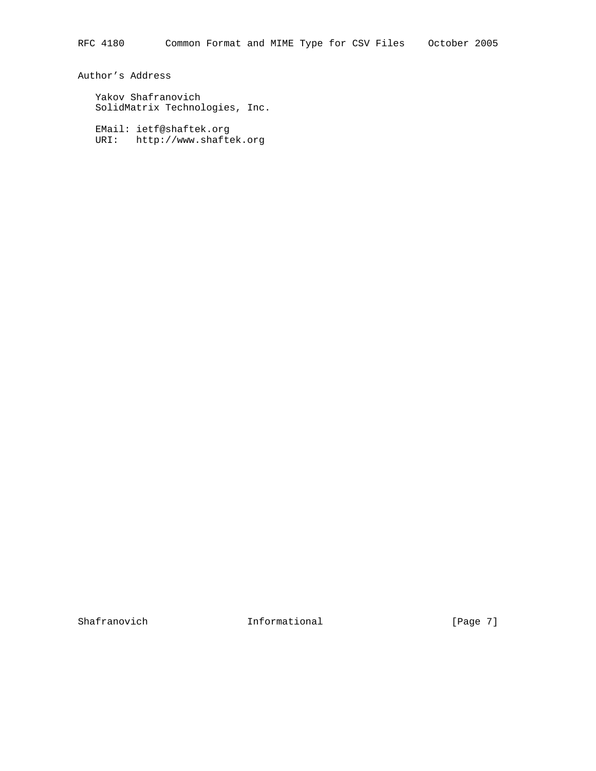Author's Address

 Yakov Shafranovich SolidMatrix Technologies, Inc.

 EMail: ietf@shaftek.org URI: http://www.shaftek.org

Shafranovich **Informational Informational** [Page 7]